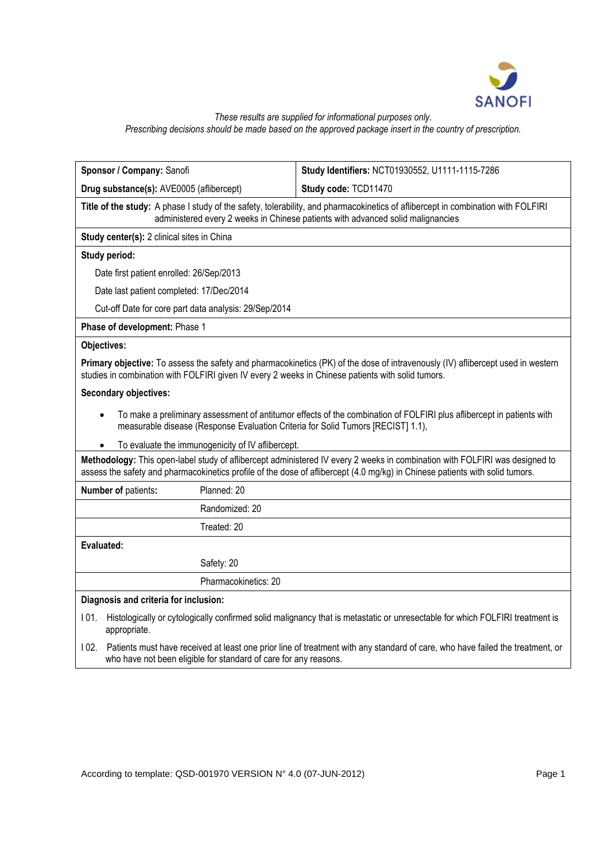

# *These results are supplied for informational purposes only.*

*Prescribing decisions should be made based on the approved package insert in the country of prescription.*

| Sponsor / Company: Sanofi                                                                         | Study Identifiers: NCT01930552, U1111-1115-7286                                                                                                                                                                                                             |
|---------------------------------------------------------------------------------------------------|-------------------------------------------------------------------------------------------------------------------------------------------------------------------------------------------------------------------------------------------------------------|
| Drug substance(s): AVE0005 (aflibercept)                                                          | Study code: TCD11470                                                                                                                                                                                                                                        |
|                                                                                                   | Title of the study: A phase I study of the safety, tolerability, and pharmacokinetics of aflibercept in combination with FOLFIRI<br>administered every 2 weeks in Chinese patients with advanced solid malignancies                                         |
| Study center(s): 2 clinical sites in China                                                        |                                                                                                                                                                                                                                                             |
| Study period:                                                                                     |                                                                                                                                                                                                                                                             |
| Date first patient enrolled: 26/Sep/2013                                                          |                                                                                                                                                                                                                                                             |
| Date last patient completed: 17/Dec/2014                                                          |                                                                                                                                                                                                                                                             |
| Cut-off Date for core part data analysis: 29/Sep/2014                                             |                                                                                                                                                                                                                                                             |
| Phase of development: Phase 1                                                                     |                                                                                                                                                                                                                                                             |
| Objectives:                                                                                       |                                                                                                                                                                                                                                                             |
| studies in combination with FOLFIRI given IV every 2 weeks in Chinese patients with solid tumors. | Primary objective: To assess the safety and pharmacokinetics (PK) of the dose of intravenously (IV) aflibercept used in western                                                                                                                             |
| <b>Secondary objectives:</b>                                                                      |                                                                                                                                                                                                                                                             |
|                                                                                                   | To make a preliminary assessment of antitumor effects of the combination of FOLFIRI plus aflibercept in patients with<br>measurable disease (Response Evaluation Criteria for Solid Tumors [RECIST] 1.1),                                                   |
| To evaluate the immunogenicity of IV aflibercept.<br>$\bullet$                                    |                                                                                                                                                                                                                                                             |
|                                                                                                   | Methodology: This open-label study of aflibercept administered IV every 2 weeks in combination with FOLFIRI was designed to<br>assess the safety and pharmacokinetics profile of the dose of aflibercept (4.0 mg/kg) in Chinese patients with solid tumors. |
| Number of patients:<br>Planned: 20                                                                |                                                                                                                                                                                                                                                             |
| Randomized: 20                                                                                    |                                                                                                                                                                                                                                                             |
| Treated: 20                                                                                       |                                                                                                                                                                                                                                                             |
| Evaluated:                                                                                        |                                                                                                                                                                                                                                                             |
| Safety: 20                                                                                        |                                                                                                                                                                                                                                                             |
| Pharmacokinetics: 20                                                                              |                                                                                                                                                                                                                                                             |
| Diagnosis and criteria for inclusion:                                                             |                                                                                                                                                                                                                                                             |
| 101.<br>appropriate.                                                                              | Histologically or cytologically confirmed solid malignancy that is metastatic or unresectable for which FOLFIRI treatment is                                                                                                                                |
| 102.<br>who have not been eligible for standard of care for any reasons.                          | Patients must have received at least one prior line of treatment with any standard of care, who have failed the treatment, or                                                                                                                               |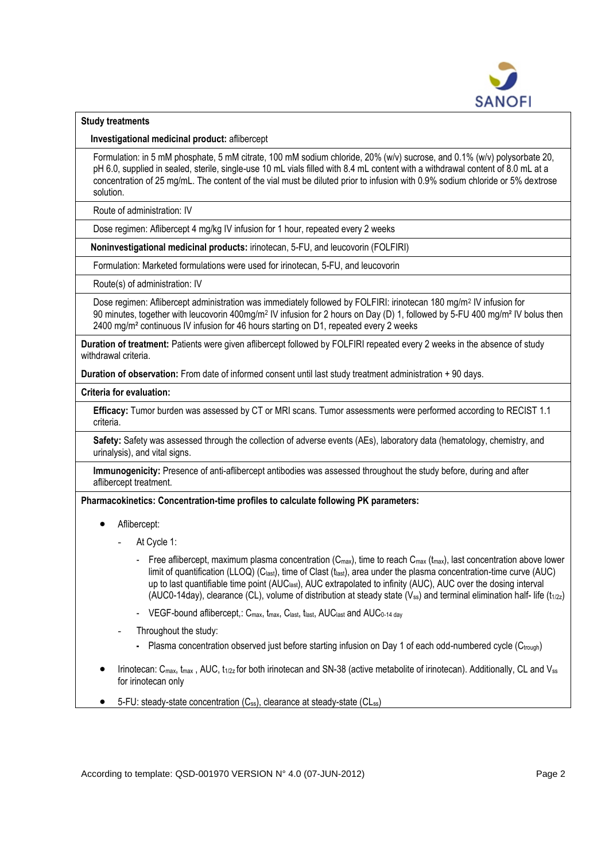

# **Study treatments**

**Investigational medicinal product:** aflibercept

Formulation: in 5 mM phosphate, 5 mM citrate, 100 mM sodium chloride, 20% (w/v) sucrose, and 0.1% (w/v) polysorbate 20, pH 6.0, supplied in sealed, sterile, single-use 10 mL vials filled with 8.4 mL content with a withdrawal content of 8.0 mL at a concentration of 25 mg/mL. The content of the vial must be diluted prior to infusion with 0.9% sodium chloride or 5% dextrose solution.

Route of administration: IV

Dose regimen: Aflibercept 4 mg/kg IV infusion for 1 hour, repeated every 2 weeks

**Noninvestigational medicinal products:** irinotecan, 5-FU, and leucovorin (FOLFIRI)

Formulation: Marketed formulations were used for irinotecan, 5-FU, and leucovorin

Route(s) of administration: IV

Dose regimen: Aflibercept administration was immediately followed by FOLFIRI: irinotecan 180 mg/m<sup>2</sup> IV infusion for 90 minutes, together with leucovorin 400mg/m<sup>2</sup> IV infusion for 2 hours on Day (D) 1, followed by 5-FU 400 mg/m<sup>2</sup> IV bolus then 2400 mg/m² continuous IV infusion for 46 hours starting on D1, repeated every 2 weeks

**Duration of treatment:** Patients were given aflibercept followed by FOLFIRI repeated every 2 weeks in the absence of study withdrawal criteria.

**Duration of observation:** From date of informed consent until last study treatment administration + 90 days.

**Criteria for evaluation:**

**Efficacy:** Tumor burden was assessed by CT or MRI scans. Tumor assessments were performed according to RECIST 1.1 criteria.

**Safety:** Safety was assessed through the collection of adverse events (AEs), laboratory data (hematology, chemistry, and urinalysis), and vital signs.

**Immunogenicity:** Presence of anti-aflibercept antibodies was assessed throughout the study before, during and after aflibercept treatment.

**Pharmacokinetics: Concentration-time profiles to calculate following PK parameters:**

- Aflibercept:
	- At Cycle 1:
		- Free aflibercept, maximum plasma concentration ( $C_{\text{max}}$ ), time to reach  $C_{\text{max}}$  ( $t_{\text{max}}$ ), last concentration above lower limit of quantification (LLOQ) (C<sub>last</sub>), time of Clast (t<sub>last</sub>), area under the plasma concentration-time curve (AUC) up to last quantifiable time point (AUC<sub>last</sub>), AUC extrapolated to infinity (AUC), AUC over the dosing interval (AUC0-14day), clearance (CL), volume of distribution at steady state (V<sub>ss</sub>) and terminal elimination half- life (t<sub>1/22</sub>)
		- VEGF-bound aflibercept,: C<sub>max</sub>, t<sub>max</sub>, C<sub>last</sub>, t<sub>last</sub>, AUC<sub>last</sub> and AUC<sub>0-14 day</sub>
	- Throughout the study:
		- Plasma concentration observed just before starting infusion on Day 1 of each odd-numbered cycle (Ctrough)
- Irinotecan:  $C_{\text{max}}$ ,  $t_{\text{max}}$ , AUC,  $t_{1/2z}$  for both irinotecan and SN-38 (active metabolite of irinotecan). Additionally, CL and  $V_{ss}$ for irinotecan only
- 5-FU: steady-state concentration  $(C_{ss})$ , clearance at steady-state  $(C_{\text{Lss}})$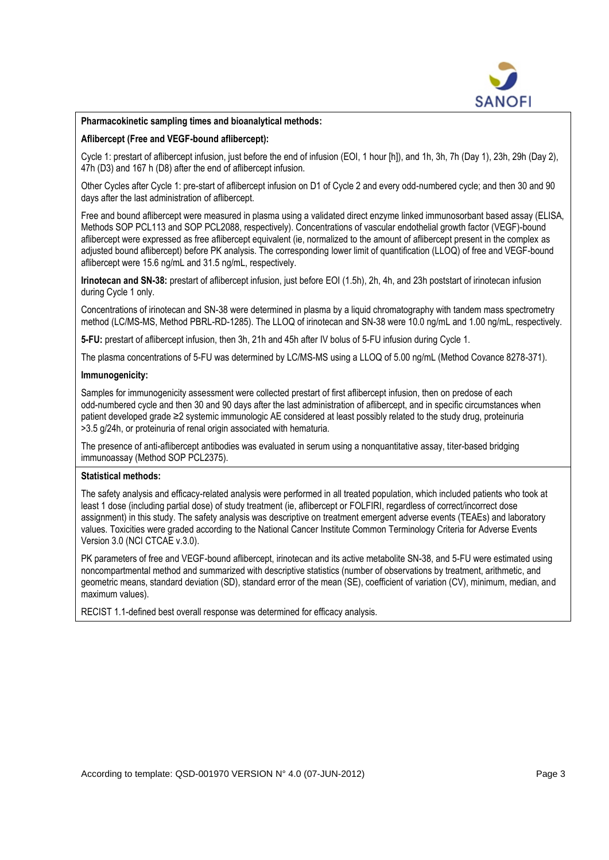

#### **Pharmacokinetic sampling times and bioanalytical methods:**

# **Aflibercept (Free and VEGF-bound aflibercept):**

Cycle 1: prestart of aflibercept infusion, just before the end of infusion (EOI, 1 hour [h]), and 1h, 3h, 7h (Day 1), 23h, 29h (Day 2), 47h (D3) and 167 h (D8) after the end of aflibercept infusion.

Other Cycles after Cycle 1: pre-start of aflibercept infusion on D1 of Cycle 2 and every odd-numbered cycle; and then 30 and 90 days after the last administration of aflibercept.

Free and bound aflibercept were measured in plasma using a validated direct enzyme linked immunosorbant based assay (ELISA, Methods SOP PCL113 and SOP PCL2088, respectively). Concentrations of vascular endothelial growth factor (VEGF)-bound aflibercept were expressed as free aflibercept equivalent (ie, normalized to the amount of aflibercept present in the complex as adjusted bound aflibercept) before PK analysis. The corresponding lower limit of quantification (LLOQ) of free and VEGF-bound aflibercept were 15.6 ng/mL and 31.5 ng/mL, respectively.

**Irinotecan and SN-38:** prestart of aflibercept infusion, just before EOI (1.5h), 2h, 4h, and 23h poststart of irinotecan infusion during Cycle 1 only.

Concentrations of irinotecan and SN-38 were determined in plasma by a liquid chromatography with tandem mass spectrometry method (LC/MS-MS, Method PBRL-RD-1285). The LLOQ of irinotecan and SN-38 were 10.0 ng/mL and 1.00 ng/mL, respectively.

**5-FU:** prestart of aflibercept infusion, then 3h, 21h and 45h after IV bolus of 5-FU infusion during Cycle 1.

The plasma concentrations of 5-FU was determined by LC/MS-MS using a LLOQ of 5.00 ng/mL (Method Covance 8278-371).

# **Immunogenicity:**

Samples for immunogenicity assessment were collected prestart of first aflibercept infusion, then on predose of each odd-numbered cycle and then 30 and 90 days after the last administration of aflibercept, and in specific circumstances when patient developed grade ≥2 systemic immunologic AE considered at least possibly related to the study drug, proteinuria >3.5 g/24h, or proteinuria of renal origin associated with hematuria.

The presence of anti-aflibercept antibodies was evaluated in serum using a nonquantitative assay, titer-based bridging immunoassay (Method SOP PCL2375).

#### **Statistical methods:**

The safety analysis and efficacy-related analysis were performed in all treated population, which included patients who took at least 1 dose (including partial dose) of study treatment (ie, aflibercept or FOLFIRI, regardless of correct/incorrect dose assignment) in this study. The safety analysis was descriptive on treatment emergent adverse events (TEAEs) and laboratory values. Toxicities were graded according to the National Cancer Institute Common Terminology Criteria for Adverse Events Version 3.0 (NCI CTCAE v.3.0).

PK parameters of free and VEGF-bound aflibercept, irinotecan and its active metabolite SN-38, and 5-FU were estimated using noncompartmental method and summarized with descriptive statistics (number of observations by treatment, arithmetic, and geometric means, standard deviation (SD), standard error of the mean (SE), coefficient of variation (CV), minimum, median, and maximum values).

RECIST 1.1-defined best overall response was determined for efficacy analysis.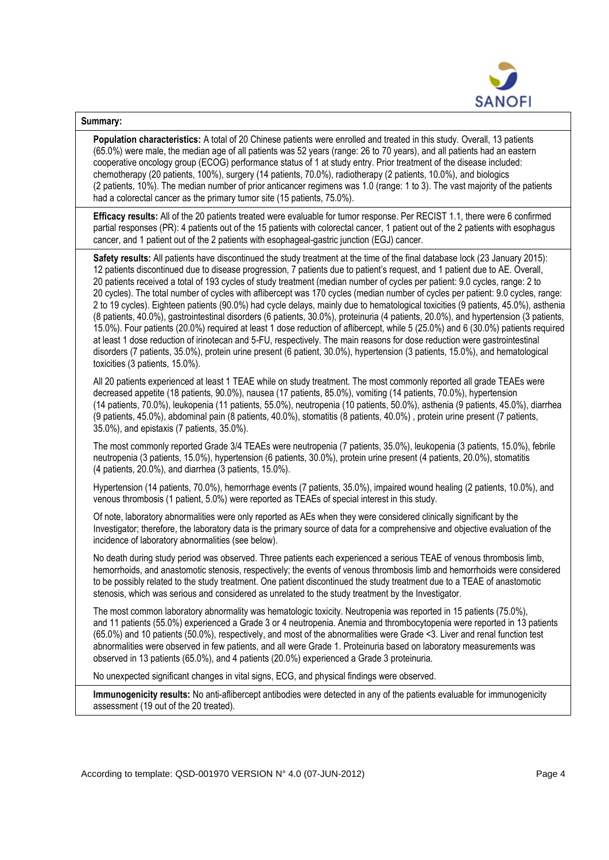

# **Summary:**

**Population characteristics:** A total of 20 Chinese patients were enrolled and treated in this study. Overall, 13 patients (65.0%) were male, the median age of all patients was 52 years (range: 26 to 70 years), and all patients had an eastern cooperative oncology group (ECOG) performance status of 1 at study entry. Prior treatment of the disease included: chemotherapy (20 patients, 100%), surgery (14 patients, 70.0%), radiotherapy (2 patients, 10.0%), and biologics (2 patients, 10%). The median number of prior anticancer regimens was 1.0 (range: 1 to 3). The vast majority of the patients had a colorectal cancer as the primary tumor site (15 patients, 75.0%).

**Efficacy results:** All of the 20 patients treated were evaluable for tumor response. Per RECIST 1.1, there were 6 confirmed partial responses (PR): 4 patients out of the 15 patients with colorectal cancer, 1 patient out of the 2 patients with esophagus cancer, and 1 patient out of the 2 patients with esophageal-gastric junction (EGJ) cancer.

**Safety results:** All patients have discontinued the study treatment at the time of the final database lock (23 January 2015): 12 patients discontinued due to disease progression, 7 patients due to patient's request, and 1 patient due to AE. Overall, 20 patients received a total of 193 cycles of study treatment (median number of cycles per patient: 9.0 cycles, range: 2 to 20 cycles). The total number of cycles with aflibercept was 170 cycles (median number of cycles per patient: 9.0 cycles, range: 2 to 19 cycles). Eighteen patients (90.0%) had cycle delays, mainly due to hematological toxicities (9 patients, 45.0%), asthenia (8 patients, 40.0%), gastrointestinal disorders (6 patients, 30.0%), proteinuria (4 patients, 20.0%), and hypertension (3 patients, 15.0%). Four patients (20.0%) required at least 1 dose reduction of aflibercept, while 5 (25.0%) and 6 (30.0%) patients required at least 1 dose reduction of irinotecan and 5-FU, respectively. The main reasons for dose reduction were gastrointestinal disorders (7 patients, 35.0%), protein urine present (6 patient, 30.0%), hypertension (3 patients, 15.0%), and hematological toxicities (3 patients, 15.0%).

All 20 patients experienced at least 1 TEAE while on study treatment. The most commonly reported all grade TEAEs were decreased appetite (18 patients, 90.0%), nausea (17 patients, 85.0%), vomiting (14 patients, 70.0%), hypertension (14 patients, 70.0%), leukopenia (11 patients, 55.0%), neutropenia (10 patients, 50.0%), asthenia (9 patients, 45.0%), diarrhea (9 patients, 45.0%), abdominal pain (8 patients, 40.0%), stomatitis (8 patients, 40.0%) , protein urine present (7 patients, 35.0%), and epistaxis (7 patients, 35.0%).

The most commonly reported Grade 3/4 TEAEs were neutropenia (7 patients, 35.0%), leukopenia (3 patients, 15.0%), febrile neutropenia (3 patients, 15.0%), hypertension (6 patients, 30.0%), protein urine present (4 patients, 20.0%), stomatitis (4 patients, 20.0%), and diarrhea (3 patients, 15.0%).

Hypertension (14 patients, 70.0%), hemorrhage events (7 patients, 35.0%), impaired wound healing (2 patients, 10.0%), and venous thrombosis (1 patient, 5.0%) were reported as TEAEs of special interest in this study.

Of note, laboratory abnormalities were only reported as AEs when they were considered clinically significant by the Investigator; therefore, the laboratory data is the primary source of data for a comprehensive and objective evaluation of the incidence of laboratory abnormalities (see below).

No death during study period was observed. Three patients each experienced a serious TEAE of venous thrombosis limb, hemorrhoids, and anastomotic stenosis, respectively; the events of venous thrombosis limb and hemorrhoids were considered to be possibly related to the study treatment. One patient discontinued the study treatment due to a TEAE of anastomotic stenosis, which was serious and considered as unrelated to the study treatment by the Investigator.

The most common laboratory abnormality was hematologic toxicity. Neutropenia was reported in 15 patients (75.0%), and 11 patients (55.0%) experienced a Grade 3 or 4 neutropenia. Anemia and thrombocytopenia were reported in 13 patients (65.0%) and 10 patients (50.0%), respectively, and most of the abnormalities were Grade <3. Liver and renal function test abnormalities were observed in few patients, and all were Grade 1. Proteinuria based on laboratory measurements was observed in 13 patients (65.0%), and 4 patients (20.0%) experienced a Grade 3 proteinuria.

No unexpected significant changes in vital signs, ECG, and physical findings were observed.

**Immunogenicity results:** No anti-aflibercept antibodies were detected in any of the patients evaluable for immunogenicity assessment (19 out of the 20 treated).